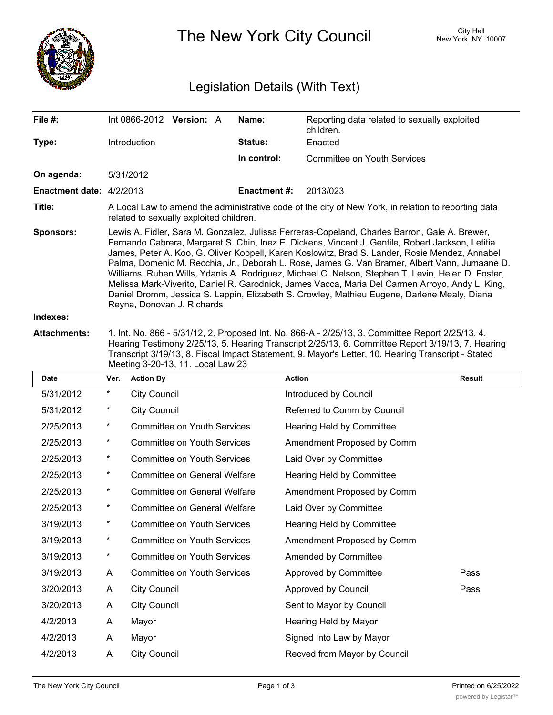

The New York City Council New York, NY 10007

# Legislation Details (With Text)

| File #:                         | Int 0866-2012 Version: A                                                                                                                                                                                                                                                                                                                                                                                                                                                                                                                                                                                                                                                                                                                  |  |  | Name:               | Reporting data related to sexually exploited<br>children. |  |  |
|---------------------------------|-------------------------------------------------------------------------------------------------------------------------------------------------------------------------------------------------------------------------------------------------------------------------------------------------------------------------------------------------------------------------------------------------------------------------------------------------------------------------------------------------------------------------------------------------------------------------------------------------------------------------------------------------------------------------------------------------------------------------------------------|--|--|---------------------|-----------------------------------------------------------|--|--|
| Type:                           | <b>Introduction</b>                                                                                                                                                                                                                                                                                                                                                                                                                                                                                                                                                                                                                                                                                                                       |  |  | <b>Status:</b>      | Enacted                                                   |  |  |
|                                 |                                                                                                                                                                                                                                                                                                                                                                                                                                                                                                                                                                                                                                                                                                                                           |  |  | In control:         | Committee on Youth Services                               |  |  |
| On agenda:                      | 5/31/2012                                                                                                                                                                                                                                                                                                                                                                                                                                                                                                                                                                                                                                                                                                                                 |  |  |                     |                                                           |  |  |
| <b>Enactment date: 4/2/2013</b> |                                                                                                                                                                                                                                                                                                                                                                                                                                                                                                                                                                                                                                                                                                                                           |  |  | <b>Enactment #:</b> | 2013/023                                                  |  |  |
| Title:                          | A Local Law to amend the administrative code of the city of New York, in relation to reporting data<br>related to sexually exploited children.                                                                                                                                                                                                                                                                                                                                                                                                                                                                                                                                                                                            |  |  |                     |                                                           |  |  |
| <b>Sponsors:</b>                | Lewis A. Fidler, Sara M. Gonzalez, Julissa Ferreras-Copeland, Charles Barron, Gale A. Brewer,<br>Fernando Cabrera, Margaret S. Chin, Inez E. Dickens, Vincent J. Gentile, Robert Jackson, Letitia<br>James, Peter A. Koo, G. Oliver Koppell, Karen Koslowitz, Brad S. Lander, Rosie Mendez, Annabel<br>Palma, Domenic M. Recchia, Jr., Deborah L. Rose, James G. Van Bramer, Albert Vann, Jumaane D.<br>Williams, Ruben Wills, Ydanis A. Rodriguez, Michael C. Nelson, Stephen T. Levin, Helen D. Foster,<br>Melissa Mark-Viverito, Daniel R. Garodnick, James Vacca, Maria Del Carmen Arroyo, Andy L. King,<br>Daniel Dromm, Jessica S. Lappin, Elizabeth S. Crowley, Mathieu Eugene, Darlene Mealy, Diana<br>Reyna, Donovan J. Richards |  |  |                     |                                                           |  |  |
| Indexes:                        |                                                                                                                                                                                                                                                                                                                                                                                                                                                                                                                                                                                                                                                                                                                                           |  |  |                     |                                                           |  |  |

**Attachments:** 1. Int. No. 866 - 5/31/12, 2. Proposed Int. No. 866-A - 2/25/13, 3. Committee Report 2/25/13, 4. Hearing Testimony 2/25/13, 5. Hearing Transcript 2/25/13, 6. Committee Report 3/19/13, 7. Hearing Transcript 3/19/13, 8. Fiscal Impact Statement, 9. Mayor's Letter, 10. Hearing Transcript - Stated Meeting 3-20-13, 11. Local Law 23

| <b>Date</b> | Ver.       | <b>Action By</b>                    | <b>Action</b>                | <b>Result</b> |
|-------------|------------|-------------------------------------|------------------------------|---------------|
| 5/31/2012   | *          | <b>City Council</b>                 | Introduced by Council        |               |
| 5/31/2012   | *          | <b>City Council</b>                 | Referred to Comm by Council  |               |
| 2/25/2013   | $^{\star}$ | <b>Committee on Youth Services</b>  | Hearing Held by Committee    |               |
| 2/25/2013   | $^\star$   | <b>Committee on Youth Services</b>  | Amendment Proposed by Comm   |               |
| 2/25/2013   | $^\star$   | <b>Committee on Youth Services</b>  | Laid Over by Committee       |               |
| 2/25/2013   | $^\star$   | <b>Committee on General Welfare</b> | Hearing Held by Committee    |               |
| 2/25/2013   | $^\star$   | Committee on General Welfare        | Amendment Proposed by Comm   |               |
| 2/25/2013   | *          | Committee on General Welfare        | Laid Over by Committee       |               |
| 3/19/2013   | *          | <b>Committee on Youth Services</b>  | Hearing Held by Committee    |               |
| 3/19/2013   | *          | <b>Committee on Youth Services</b>  | Amendment Proposed by Comm   |               |
| 3/19/2013   | $^{\star}$ | <b>Committee on Youth Services</b>  | Amended by Committee         |               |
| 3/19/2013   | A          | <b>Committee on Youth Services</b>  | Approved by Committee        | Pass          |
| 3/20/2013   | A          | <b>City Council</b>                 | Approved by Council          | Pass          |
| 3/20/2013   | A          | <b>City Council</b>                 | Sent to Mayor by Council     |               |
| 4/2/2013    | A          | Mayor                               | Hearing Held by Mayor        |               |
| 4/2/2013    | A          | Mayor                               | Signed Into Law by Mayor     |               |
| 4/2/2013    | A          | <b>City Council</b>                 | Recved from Mayor by Council |               |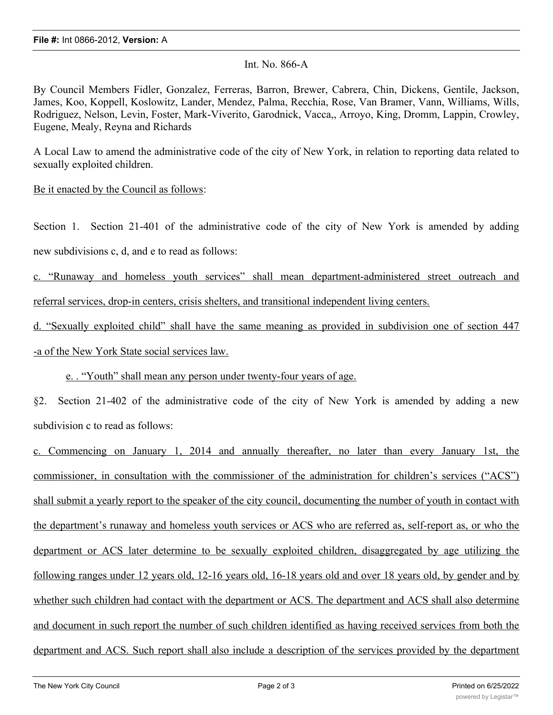### Int. No. 866-A

By Council Members Fidler, Gonzalez, Ferreras, Barron, Brewer, Cabrera, Chin, Dickens, Gentile, Jackson, James, Koo, Koppell, Koslowitz, Lander, Mendez, Palma, Recchia, Rose, Van Bramer, Vann, Williams, Wills, Rodriguez, Nelson, Levin, Foster, Mark-Viverito, Garodnick, Vacca,, Arroyo, King, Dromm, Lappin, Crowley, Eugene, Mealy, Reyna and Richards

A Local Law to amend the administrative code of the city of New York, in relation to reporting data related to sexually exploited children.

### Be it enacted by the Council as follows:

Section 1. Section 21-401 of the administrative code of the city of New York is amended by adding new subdivisions c, d, and e to read as follows:

c. "Runaway and homeless youth services" shall mean department-administered street outreach and referral services, drop-in centers, crisis shelters, and transitional independent living centers.

d. "Sexually exploited child" shall have the same meaning as provided in subdivision one of section 447 -a of the New York State social services law.

## e. . "Youth" shall mean any person under twenty-four years of age.

§2. Section 21-402 of the administrative code of the city of New York is amended by adding a new subdivision c to read as follows:

c. Commencing on January 1, 2014 and annually thereafter, no later than every January 1st, the commissioner, in consultation with the commissioner of the administration for children's services ("ACS") shall submit a yearly report to the speaker of the city council, documenting the number of youth in contact with the department's runaway and homeless youth services or ACS who are referred as, self-report as, or who the department or ACS later determine to be sexually exploited children, disaggregated by age utilizing the following ranges under 12 years old, 12-16 years old, 16-18 years old and over 18 years old, by gender and by whether such children had contact with the department or ACS. The department and ACS shall also determine and document in such report the number of such children identified as having received services from both the department and ACS. Such report shall also include a description of the services provided by the department